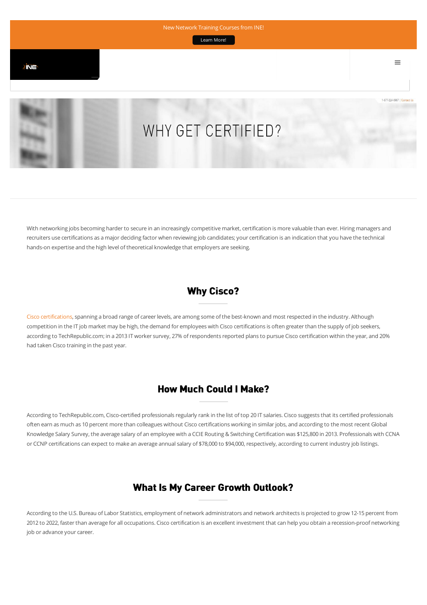[Learn More!](http://createsend.com/t/d-E9CC990FA8F9D329 )



With networking jobs becoming harder to secure in an increasingly competitive market, certification is more valuable than ever. Hiring managers and recruiters use certifications as a major deciding factor when reviewing job candidates; your certification is an indication that you have the technical hands-on expertise and the high level of theoretical knowledge that employers are seeking.

## Why Cisco?

[Cisco certifications,](http://www.cisco.com/web/learning/certifications/index.html) spanning a broad range of career levels, are among some of the best-known and most respected in the industry. Although competition in the IT job market may be high, the demand for employees with Cisco certifications is often greater than the supply of job seekers, according to TechRepublic.com; in a 2013 IT worker survey, 27% of respondents reported plans to pursue Cisco certification within the year, and 20% had taken Cisco training in the past year.

# How Much Could I Make?

According to TechRepublic.com, Cisco-certified professionals regularly rank in the list of top 20 IT salaries. Cisco suggests that its certified professionals often earn as much as 10 percent more than colleagues without Cisco certifications working in similar jobs, and according to the most recent Global Knowledge Salary Survey, the average salary of an employee with a CCIE Routing & Switching Certification was \$125,800 in 2013. Professionals with CCNA or CCNP certifications can expect to make an average annual salary of \$78,000 to \$94,000, respectively, according to current industry job listings.

## What Is My Career Growth Outlook?

According to the U.S. Bureau of Labor Statistics, employment of network administrators and network architects is projected to grow 12-15 percent from 2012 to 2022, faster than average for all occupations. Cisco certification is an excellent investment that can help you obtain a recession-proof networking job or advance your career.

 $\equiv$